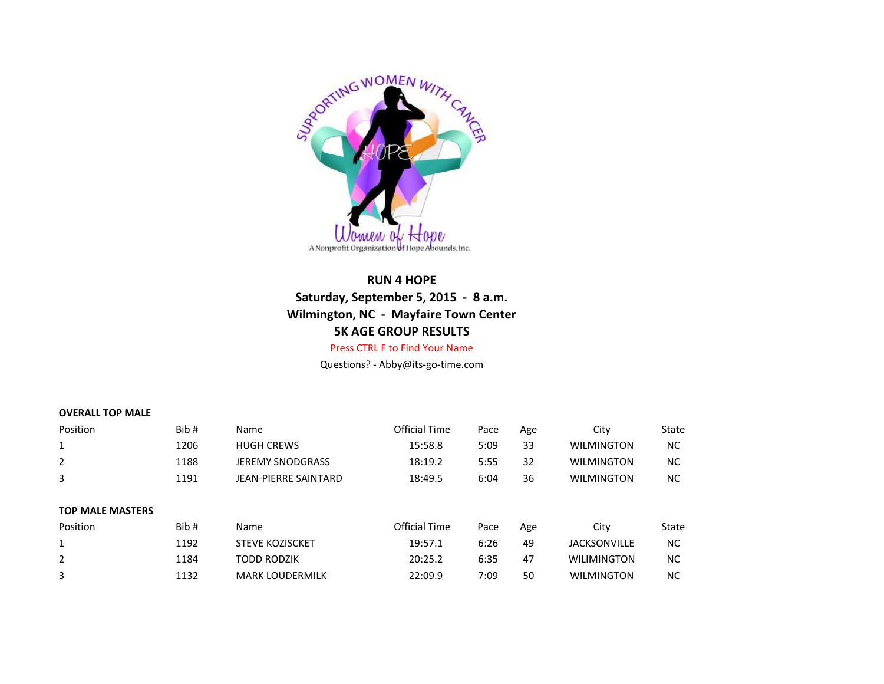

## **RUN 4 HOPE Saturday, September 5, 2015 - 8 a.m. Wilmington, NC - Mayfaire Town Center 5K AGE GROUP RESULTS** Press CTRL F to Find Your Name

## Questions? - Abby@its-go-time.com

## **OVERALL TOP MALE**

| <b>NC</b><br><b>WILMINGTON</b><br><b>NC</b><br><b>WILMINGTON</b><br><b>NC</b><br><b>WILMINGTON</b> |
|----------------------------------------------------------------------------------------------------|
|                                                                                                    |
|                                                                                                    |
|                                                                                                    |
|                                                                                                    |
| State                                                                                              |
| NC.                                                                                                |
| NC.                                                                                                |
|                                                                                                    |
| <b>JACKSONVILLE</b><br><b>WILIMINGTON</b>                                                          |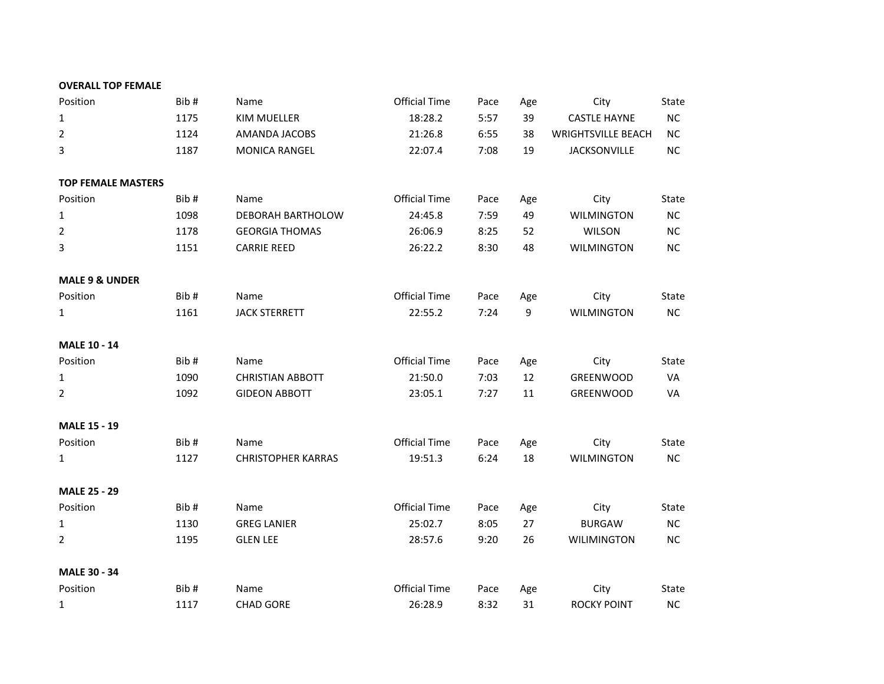| <b>OVERALL TOP FEMALE</b> |  |  |  |
|---------------------------|--|--|--|
|---------------------------|--|--|--|

| <b>OVERALL TOP FEMALE</b> |      |                           |                      |      |     |                           |           |
|---------------------------|------|---------------------------|----------------------|------|-----|---------------------------|-----------|
| Position                  | Bib# | Name                      | <b>Official Time</b> | Pace | Age | City                      | State     |
| $\mathbf{1}$              | 1175 | KIM MUELLER               | 18:28.2              | 5:57 | 39  | <b>CASTLE HAYNE</b>       | <b>NC</b> |
| $\overline{2}$            | 1124 | AMANDA JACOBS             | 21:26.8              | 6:55 | 38  | <b>WRIGHTSVILLE BEACH</b> | <b>NC</b> |
| 3                         | 1187 | MONICA RANGEL             | 22:07.4              | 7:08 | 19  | <b>JACKSONVILLE</b>       | <b>NC</b> |
|                           |      |                           |                      |      |     |                           |           |
| <b>TOP FEMALE MASTERS</b> |      |                           |                      |      |     |                           |           |
| Position                  | Bib# | Name                      | <b>Official Time</b> | Pace | Age | City                      | State     |
| $\mathbf{1}$              | 1098 | DEBORAH BARTHOLOW         | 24:45.8              | 7:59 | 49  | <b>WILMINGTON</b>         | <b>NC</b> |
| $\overline{2}$            | 1178 | <b>GEORGIA THOMAS</b>     | 26:06.9              | 8:25 | 52  | <b>WILSON</b>             | <b>NC</b> |
| 3                         | 1151 | <b>CARRIE REED</b>        | 26:22.2              | 8:30 | 48  | <b>WILMINGTON</b>         | <b>NC</b> |
| <b>MALE 9 &amp; UNDER</b> |      |                           |                      |      |     |                           |           |
| Position                  | Bib# | Name                      | <b>Official Time</b> | Pace | Age | City                      | State     |
| $\mathbf{1}$              | 1161 | <b>JACK STERRETT</b>      | 22:55.2              | 7:24 | 9   | <b>WILMINGTON</b>         | <b>NC</b> |
|                           |      |                           |                      |      |     |                           |           |
| <b>MALE 10 - 14</b>       |      |                           |                      |      |     |                           |           |
| Position                  | Bib# | Name                      | <b>Official Time</b> | Pace | Age | City                      | State     |
| $\mathbf{1}$              | 1090 | <b>CHRISTIAN ABBOTT</b>   | 21:50.0              | 7:03 | 12  | <b>GREENWOOD</b>          | VA        |
| 2                         | 1092 | <b>GIDEON ABBOTT</b>      | 23:05.1              | 7:27 | 11  | <b>GREENWOOD</b>          | VA        |
| <b>MALE 15 - 19</b>       |      |                           |                      |      |     |                           |           |
| Position                  | Bib# | Name                      | <b>Official Time</b> | Pace | Age | City                      | State     |
| $\mathbf{1}$              | 1127 | <b>CHRISTOPHER KARRAS</b> | 19:51.3              | 6:24 | 18  | <b>WILMINGTON</b>         | <b>NC</b> |
| <b>MALE 25 - 29</b>       |      |                           |                      |      |     |                           |           |
| Position                  | Bib# | Name                      | <b>Official Time</b> | Pace | Age | City                      | State     |
| $\mathbf{1}$              | 1130 | <b>GREG LANIER</b>        | 25:02.7              | 8:05 | 27  | <b>BURGAW</b>             | <b>NC</b> |
| $\overline{2}$            | 1195 | <b>GLEN LEE</b>           | 28:57.6              | 9:20 | 26  | <b>WILIMINGTON</b>        | <b>NC</b> |
|                           |      |                           |                      |      |     |                           |           |
| <b>MALE 30 - 34</b>       |      |                           |                      |      |     |                           |           |
| Position                  | Bib# | Name                      | <b>Official Time</b> | Pace | Age | City                      | State     |
| 1                         | 1117 | <b>CHAD GORE</b>          | 26:28.9              | 8:32 | 31  | <b>ROCKY POINT</b>        | NC        |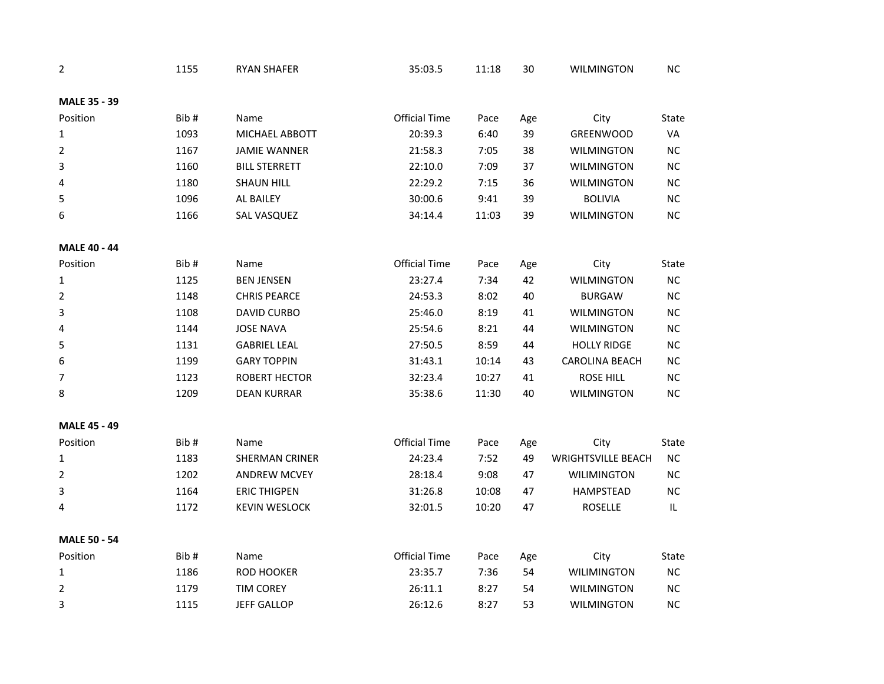| 2                   | 1155 | <b>RYAN SHAFER</b>    | 35:03.5              | 11:18 | 30  | <b>WILMINGTON</b>         | <b>NC</b> |
|---------------------|------|-----------------------|----------------------|-------|-----|---------------------------|-----------|
| MALE 35 - 39        |      |                       |                      |       |     |                           |           |
| Position            | Bib# | Name                  | <b>Official Time</b> | Pace  | Age | City                      | State     |
| 1                   | 1093 | MICHAEL ABBOTT        | 20:39.3              | 6:40  | 39  | GREENWOOD                 | VA        |
| 2                   | 1167 | <b>JAMIE WANNER</b>   | 21:58.3              | 7:05  | 38  | <b>WILMINGTON</b>         | <b>NC</b> |
| 3                   | 1160 | <b>BILL STERRETT</b>  | 22:10.0              | 7:09  | 37  | <b>WILMINGTON</b>         | NC        |
| 4                   | 1180 | <b>SHAUN HILL</b>     | 22:29.2              | 7:15  | 36  | <b>WILMINGTON</b>         | NC        |
| 5                   | 1096 | AL BAILEY             | 30:00.6              | 9:41  | 39  | <b>BOLIVIA</b>            | NC.       |
| 6                   | 1166 | SAL VASQUEZ           | 34:14.4              | 11:03 | 39  | <b>WILMINGTON</b>         | NC        |
| <b>MALE 40 - 44</b> |      |                       |                      |       |     |                           |           |
| Position            | Bib# | Name                  | <b>Official Time</b> | Pace  | Age | City                      | State     |
| 1                   | 1125 | <b>BEN JENSEN</b>     | 23:27.4              | 7:34  | 42  | <b>WILMINGTON</b>         | NC        |
| 2                   | 1148 | <b>CHRIS PEARCE</b>   | 24:53.3              | 8:02  | 40  | <b>BURGAW</b>             | NC        |
| 3                   | 1108 | DAVID CURBO           | 25:46.0              | 8:19  | 41  | <b>WILMINGTON</b>         | NC        |
| 4                   | 1144 | <b>JOSE NAVA</b>      | 25:54.6              | 8:21  | 44  | <b>WILMINGTON</b>         | <b>NC</b> |
| 5                   | 1131 | <b>GABRIEL LEAL</b>   | 27:50.5              | 8:59  | 44  | <b>HOLLY RIDGE</b>        | NC        |
| 6                   | 1199 | <b>GARY TOPPIN</b>    | 31:43.1              | 10:14 | 43  | <b>CAROLINA BEACH</b>     | NC        |
| 7                   | 1123 | ROBERT HECTOR         | 32:23.4              | 10:27 | 41  | <b>ROSE HILL</b>          | NC        |
| 8                   | 1209 | <b>DEAN KURRAR</b>    | 35:38.6              | 11:30 | 40  | <b>WILMINGTON</b>         | <b>NC</b> |
| <b>MALE 45 - 49</b> |      |                       |                      |       |     |                           |           |
| Position            | Bib# | Name                  | <b>Official Time</b> | Pace  | Age | City                      | State     |
| 1                   | 1183 | <b>SHERMAN CRINER</b> | 24:23.4              | 7:52  | 49  | <b>WRIGHTSVILLE BEACH</b> | $NC$      |
| 2                   | 1202 | <b>ANDREW MCVEY</b>   | 28:18.4              | 9:08  | 47  | <b>WILIMINGTON</b>        | <b>NC</b> |
| 3                   | 1164 | <b>ERIC THIGPEN</b>   | 31:26.8              | 10:08 | 47  | HAMPSTEAD                 | <b>NC</b> |
| 4                   | 1172 | <b>KEVIN WESLOCK</b>  | 32:01.5              | 10:20 | 47  | <b>ROSELLE</b>            | IL        |
| <b>MALE 50 - 54</b> |      |                       |                      |       |     |                           |           |
| Position            | Bib# | Name                  | <b>Official Time</b> | Pace  | Age | City                      | State     |
| 1                   | 1186 | <b>ROD HOOKER</b>     | 23:35.7              | 7:36  | 54  | <b>WILIMINGTON</b>        | NC        |
| 2                   | 1179 | <b>TIM COREY</b>      | 26:11.1              | 8:27  | 54  | <b>WILMINGTON</b>         | NC        |
| 3                   | 1115 | <b>JEFF GALLOP</b>    | 26:12.6              | 8:27  | 53  | <b>WILMINGTON</b>         | <b>NC</b> |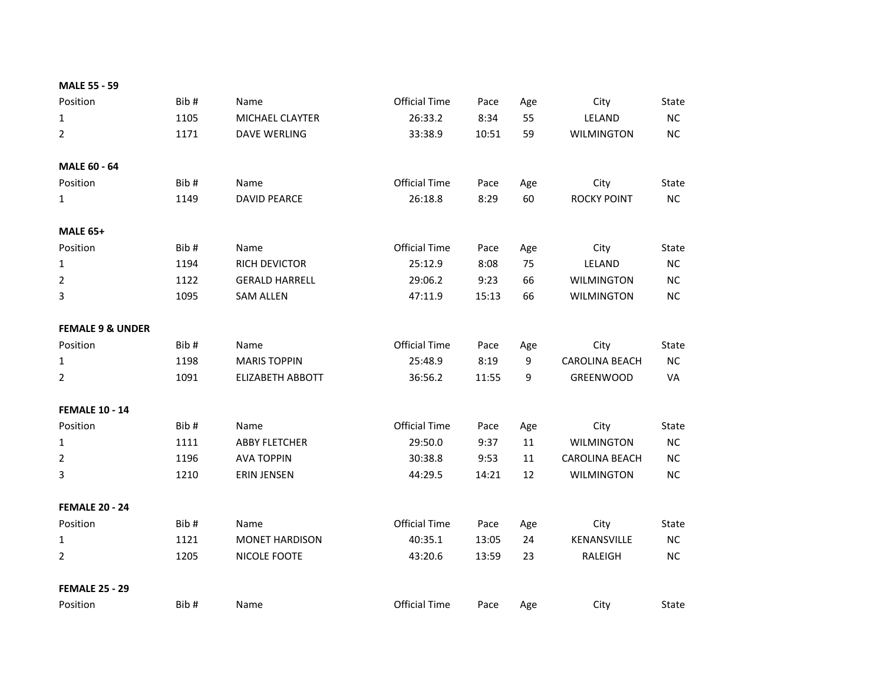| <b>MALE 55 - 59</b>         |      |                         |                      |       |     |                       |           |
|-----------------------------|------|-------------------------|----------------------|-------|-----|-----------------------|-----------|
| Position                    | Bib# | Name                    | <b>Official Time</b> | Pace  | Age | City                  | State     |
| $\mathbf{1}$                | 1105 | MICHAEL CLAYTER         | 26:33.2              | 8:34  | 55  | LELAND                | NC        |
| $\overline{2}$              | 1171 | <b>DAVE WERLING</b>     | 33:38.9              | 10:51 | 59  | <b>WILMINGTON</b>     | NC        |
| <b>MALE 60 - 64</b>         |      |                         |                      |       |     |                       |           |
| Position                    | Bib# | Name                    | <b>Official Time</b> | Pace  | Age | City                  | State     |
| $\mathbf{1}$                | 1149 | <b>DAVID PEARCE</b>     | 26:18.8              | 8:29  | 60  | <b>ROCKY POINT</b>    | NC        |
| <b>MALE 65+</b>             |      |                         |                      |       |     |                       |           |
| Position                    | Bib# | Name                    | <b>Official Time</b> | Pace  | Age | City                  | State     |
| $\mathbf{1}$                | 1194 | RICH DEVICTOR           | 25:12.9              | 8:08  | 75  | LELAND                | NC        |
| $\overline{2}$              | 1122 | <b>GERALD HARRELL</b>   | 29:06.2              | 9:23  | 66  | <b>WILMINGTON</b>     | NC.       |
| 3                           | 1095 | <b>SAM ALLEN</b>        | 47:11.9              | 15:13 | 66  | <b>WILMINGTON</b>     | NC        |
| <b>FEMALE 9 &amp; UNDER</b> |      |                         |                      |       |     |                       |           |
| Position                    | Bib# | Name                    | <b>Official Time</b> | Pace  | Age | City                  | State     |
| $\mathbf{1}$                | 1198 | <b>MARIS TOPPIN</b>     | 25:48.9              | 8:19  | 9   | <b>CAROLINA BEACH</b> | $NC$      |
| $\overline{2}$              | 1091 | <b>ELIZABETH ABBOTT</b> | 36:56.2              | 11:55 | 9   | GREENWOOD             | VA        |
| <b>FEMALE 10 - 14</b>       |      |                         |                      |       |     |                       |           |
| Position                    | Bib# | Name                    | <b>Official Time</b> | Pace  | Age | City                  | State     |
| $\mathbf{1}$                | 1111 | <b>ABBY FLETCHER</b>    | 29:50.0              | 9:37  | 11  | <b>WILMINGTON</b>     | NC        |
| $\overline{2}$              | 1196 | <b>AVA TOPPIN</b>       | 30:38.8              | 9:53  | 11  | <b>CAROLINA BEACH</b> | <b>NC</b> |
| 3                           | 1210 | <b>ERIN JENSEN</b>      | 44:29.5              | 14:21 | 12  | <b>WILMINGTON</b>     | NC        |
| <b>FEMALE 20 - 24</b>       |      |                         |                      |       |     |                       |           |
| Position                    | Bib# | Name                    | <b>Official Time</b> | Pace  | Age | City                  | State     |
| $\mathbf{1}$                | 1121 | <b>MONET HARDISON</b>   | 40:35.1              | 13:05 | 24  | KENANSVILLE           | NC.       |
| $\overline{2}$              | 1205 | NICOLE FOOTE            | 43:20.6              | 13:59 | 23  | RALEIGH               | <b>NC</b> |
| <b>FEMALE 25 - 29</b>       |      |                         |                      |       |     |                       |           |
| Position                    | Bib# | Name                    | <b>Official Time</b> | Pace  | Age | City                  | State     |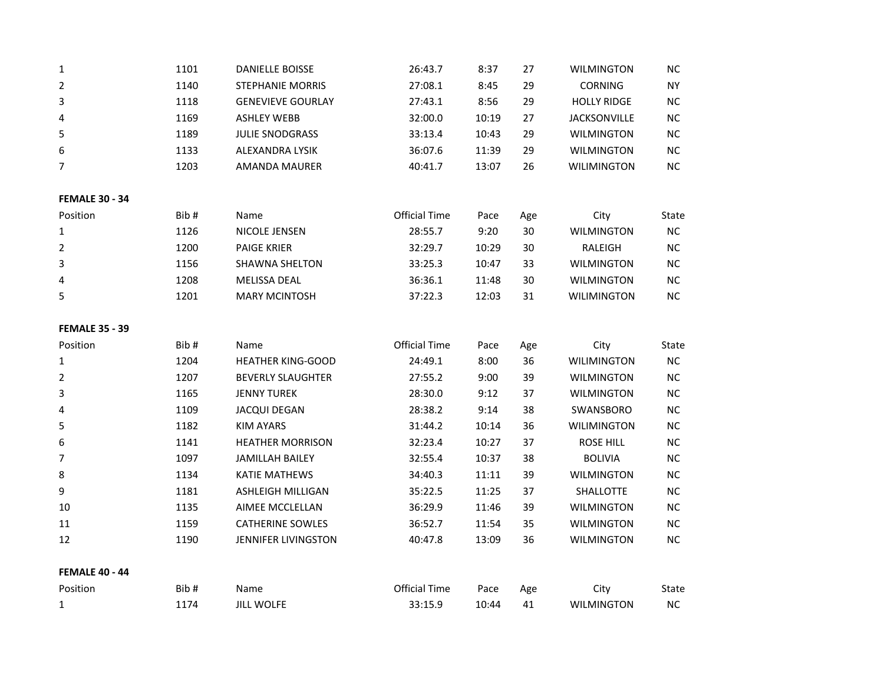| $\mathbf{1}$          | 1101 | <b>DANIELLE BOISSE</b>   | 26:43.7              | 8:37  | 27  | <b>WILMINGTON</b>   | NC.       |  |
|-----------------------|------|--------------------------|----------------------|-------|-----|---------------------|-----------|--|
| $\overline{2}$        | 1140 | <b>STEPHANIE MORRIS</b>  | 27:08.1              | 8:45  | 29  | <b>CORNING</b>      | <b>NY</b> |  |
| 3                     | 1118 | <b>GENEVIEVE GOURLAY</b> | 27:43.1              | 8:56  | 29  | <b>HOLLY RIDGE</b>  | <b>NC</b> |  |
| 4                     | 1169 | <b>ASHLEY WEBB</b>       | 32:00.0              | 10:19 | 27  | <b>JACKSONVILLE</b> | NC        |  |
| 5                     | 1189 | JULIE SNODGRASS          | 33:13.4              | 10:43 | 29  | <b>WILMINGTON</b>   | <b>NC</b> |  |
| 6                     | 1133 | ALEXANDRA LYSIK          | 36:07.6              | 11:39 | 29  | <b>WILMINGTON</b>   | NC        |  |
| $\overline{7}$        | 1203 | AMANDA MAURER            | 40:41.7              | 13:07 | 26  | <b>WILIMINGTON</b>  | NC        |  |
| <b>FEMALE 30 - 34</b> |      |                          |                      |       |     |                     |           |  |
| Position              | Bib# | Name                     | Official Time        | Pace  | Age | City                | State     |  |
| $\mathbf{1}$          | 1126 | NICOLE JENSEN            | 28:55.7              | 9:20  | 30  | <b>WILMINGTON</b>   | NC        |  |
| $\overline{2}$        | 1200 | <b>PAIGE KRIER</b>       | 32:29.7              | 10:29 | 30  | RALEIGH             | <b>NC</b> |  |
| 3                     | 1156 | SHAWNA SHELTON           | 33:25.3              | 10:47 | 33  | <b>WILMINGTON</b>   | <b>NC</b> |  |
| 4                     | 1208 | MELISSA DEAL             | 36:36.1              | 11:48 | 30  | <b>WILMINGTON</b>   | <b>NC</b> |  |
| 5                     | 1201 | <b>MARY MCINTOSH</b>     | 37:22.3              | 12:03 | 31  | <b>WILIMINGTON</b>  | NC        |  |
| <b>FEMALE 35 - 39</b> |      |                          |                      |       |     |                     |           |  |
| Position              | Bib# | Name                     | <b>Official Time</b> | Pace  | Age | City                | State     |  |
| $\mathbf{1}$          | 1204 | <b>HEATHER KING-GOOD</b> | 24:49.1              | 8:00  | 36  | <b>WILIMINGTON</b>  | <b>NC</b> |  |
| $\overline{2}$        | 1207 | <b>BEVERLY SLAUGHTER</b> | 27:55.2              | 9:00  | 39  | <b>WILMINGTON</b>   | NC        |  |
| 3                     | 1165 | <b>JENNY TUREK</b>       | 28:30.0              | 9:12  | 37  | <b>WILMINGTON</b>   | NC        |  |
| 4                     | 1109 | <b>JACQUI DEGAN</b>      | 28:38.2              | 9:14  | 38  | SWANSBORO           | <b>NC</b> |  |
| 5                     | 1182 | KIM AYARS                | 31:44.2              | 10:14 | 36  | <b>WILIMINGTON</b>  | NC        |  |
| 6                     | 1141 | <b>HEATHER MORRISON</b>  | 32:23.4              | 10:27 | 37  | ROSE HILL           | <b>NC</b> |  |
| $\overline{7}$        | 1097 | JAMILLAH BAILEY          | 32:55.4              | 10:37 | 38  | <b>BOLIVIA</b>      | $NC$      |  |
| 8                     | 1134 | <b>KATIE MATHEWS</b>     | 34:40.3              | 11:11 | 39  | <b>WILMINGTON</b>   | <b>NC</b> |  |
| 9                     | 1181 | ASHLEIGH MILLIGAN        | 35:22.5              | 11:25 | 37  | <b>SHALLOTTE</b>    | NC        |  |
| 10                    | 1135 | AIMEE MCCLELLAN          | 36:29.9              | 11:46 | 39  | <b>WILMINGTON</b>   | <b>NC</b> |  |
| 11                    | 1159 | <b>CATHERINE SOWLES</b>  | 36:52.7              | 11:54 | 35  | <b>WILMINGTON</b>   | NC        |  |
| 12                    | 1190 | JENNIFER LIVINGSTON      | 40:47.8              | 13:09 | 36  | <b>WILMINGTON</b>   | NC        |  |
| <b>FEMALE 40 - 44</b> |      |                          |                      |       |     |                     |           |  |
| Position              | Bib# | Name                     | <b>Official Time</b> | Pace  | Age | City                | State     |  |
| $\mathbf{1}$          | 1174 | <b>JILL WOLFE</b>        | 33:15.9              | 10:44 | 41  | <b>WILMINGTON</b>   | NC        |  |
|                       |      |                          |                      |       |     |                     |           |  |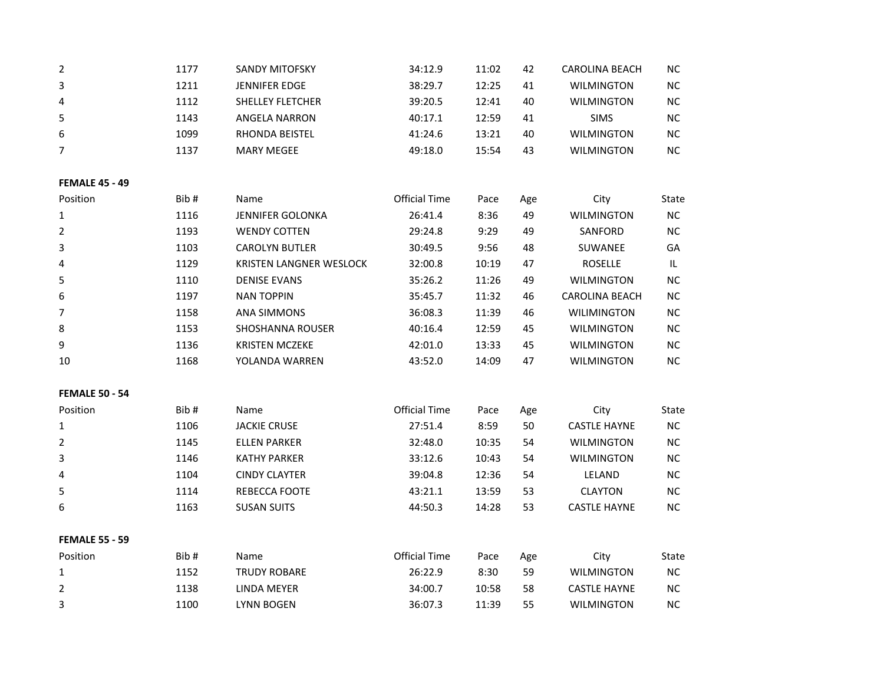| $\overline{2}$        | 1177 | <b>SANDY MITOFSKY</b>   | 34:12.9              | 11:02 | 42  | <b>CAROLINA BEACH</b> | <b>NC</b>  |
|-----------------------|------|-------------------------|----------------------|-------|-----|-----------------------|------------|
| 3                     | 1211 | <b>JENNIFER EDGE</b>    | 38:29.7              | 12:25 | 41  | <b>WILMINGTON</b>     | $NC$       |
| 4                     | 1112 | SHELLEY FLETCHER        | 39:20.5              | 12:41 | 40  | <b>WILMINGTON</b>     | NC         |
| 5                     | 1143 | <b>ANGELA NARRON</b>    | 40:17.1              | 12:59 | 41  | <b>SIMS</b>           | NC         |
| 6                     | 1099 | RHONDA BEISTEL          | 41:24.6              | 13:21 | 40  | <b>WILMINGTON</b>     | $NC$       |
| 7                     | 1137 | <b>MARY MEGEE</b>       | 49:18.0              | 15:54 | 43  | <b>WILMINGTON</b>     | NC         |
| <b>FEMALE 45 - 49</b> |      |                         |                      |       |     |                       |            |
| Position              | Bib# | Name                    | <b>Official Time</b> | Pace  | Age | City                  | State      |
| $\mathbf{1}$          | 1116 | <b>JENNIFER GOLONKA</b> | 26:41.4              | 8:36  | 49  | <b>WILMINGTON</b>     | <b>NC</b>  |
| $\overline{2}$        | 1193 | <b>WENDY COTTEN</b>     | 29:24.8              | 9:29  | 49  | SANFORD               | NC         |
| 3                     | 1103 | <b>CAROLYN BUTLER</b>   | 30:49.5              | 9:56  | 48  | SUWANEE               | GA         |
| 4                     | 1129 | KRISTEN LANGNER WESLOCK | 32:00.8              | 10:19 | 47  | <b>ROSELLE</b>        | IL         |
| 5                     | 1110 | <b>DENISE EVANS</b>     | 35:26.2              | 11:26 | 49  | <b>WILMINGTON</b>     | NC.        |
| 6                     | 1197 | <b>NAN TOPPIN</b>       | 35:45.7              | 11:32 | 46  | <b>CAROLINA BEACH</b> | NC         |
| $\overline{7}$        | 1158 | ANA SIMMONS             | 36:08.3              | 11:39 | 46  | WILIMINGTON           | $NC$       |
| 8                     | 1153 | <b>SHOSHANNA ROUSER</b> | 40:16.4              | 12:59 | 45  | <b>WILMINGTON</b>     | <b>NC</b>  |
| 9                     | 1136 | <b>KRISTEN MCZEKE</b>   | 42:01.0              | 13:33 | 45  | <b>WILMINGTON</b>     | NC         |
| 10                    | 1168 | YOLANDA WARREN          | 43:52.0              | 14:09 | 47  | <b>WILMINGTON</b>     | NC         |
| <b>FEMALE 50 - 54</b> |      |                         |                      |       |     |                       |            |
| Position              | Bib# | Name                    | <b>Official Time</b> | Pace  | Age | City                  | State      |
| 1                     | 1106 | <b>JACKIE CRUSE</b>     | 27:51.4              | 8:59  | 50  | <b>CASTLE HAYNE</b>   | NC         |
| 2                     | 1145 | <b>ELLEN PARKER</b>     | 32:48.0              | 10:35 | 54  | <b>WILMINGTON</b>     | $NC$       |
| 3                     | 1146 | <b>KATHY PARKER</b>     | 33:12.6              | 10:43 | 54  | <b>WILMINGTON</b>     | ${\sf NC}$ |
| 4                     | 1104 | <b>CINDY CLAYTER</b>    | 39:04.8              | 12:36 | 54  | LELAND                | NC         |
| 5                     | 1114 | REBECCA FOOTE           | 43:21.1              | 13:59 | 53  | <b>CLAYTON</b>        | NC         |
| 6                     | 1163 | <b>SUSAN SUITS</b>      | 44:50.3              | 14:28 | 53  | <b>CASTLE HAYNE</b>   | NC.        |
| <b>FEMALE 55 - 59</b> |      |                         |                      |       |     |                       |            |
| Position              | Bib# | Name                    | <b>Official Time</b> | Pace  | Age | City                  | State      |
| $\mathbf{1}$          | 1152 | <b>TRUDY ROBARE</b>     | 26:22.9              | 8:30  | 59  | <b>WILMINGTON</b>     | <b>NC</b>  |
| 2                     | 1138 | <b>LINDA MEYER</b>      | 34:00.7              | 10:58 | 58  | <b>CASTLE HAYNE</b>   | NC         |
| 3                     | 1100 | <b>LYNN BOGEN</b>       | 36:07.3              | 11:39 | 55  | <b>WILMINGTON</b>     | NC         |
|                       |      |                         |                      |       |     |                       |            |